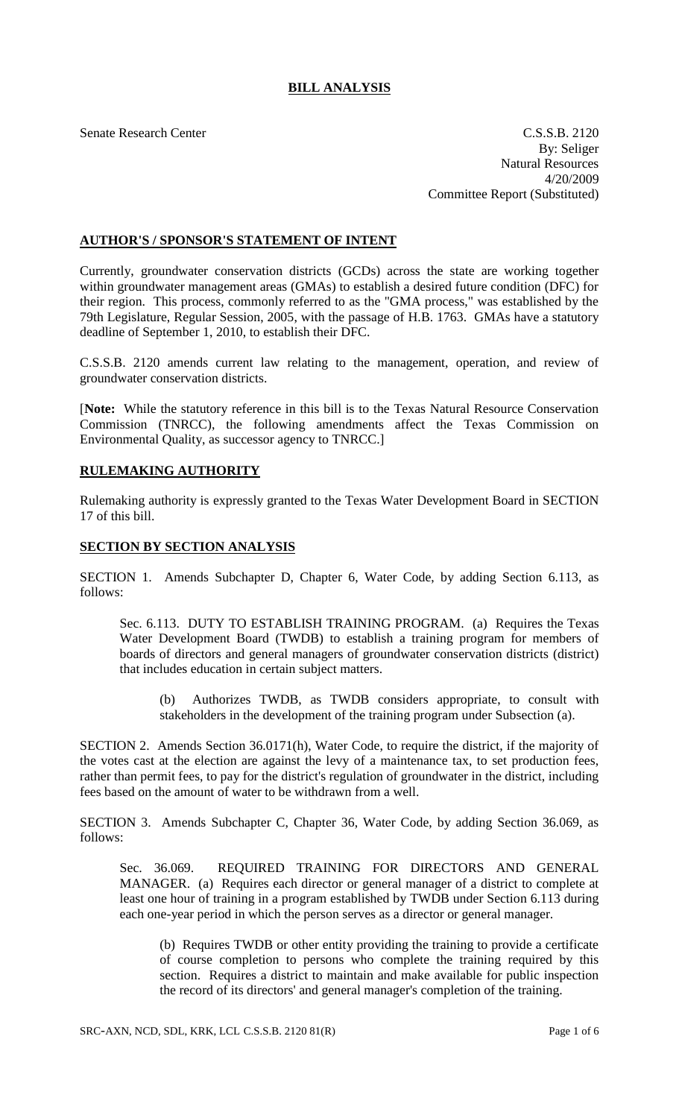# **BILL ANALYSIS**

Senate Research Center C.S.S.B. 2120 By: Seliger Natural Resources 4/20/2009 Committee Report (Substituted)

## **AUTHOR'S / SPONSOR'S STATEMENT OF INTENT**

Currently, groundwater conservation districts (GCDs) across the state are working together within groundwater management areas (GMAs) to establish a desired future condition (DFC) for their region. This process, commonly referred to as the "GMA process," was established by the 79th Legislature, Regular Session, 2005, with the passage of H.B. 1763. GMAs have a statutory deadline of September 1, 2010, to establish their DFC.

C.S.S.B. 2120 amends current law relating to the management, operation, and review of groundwater conservation districts.

[**Note:** While the statutory reference in this bill is to the Texas Natural Resource Conservation Commission (TNRCC), the following amendments affect the Texas Commission on Environmental Quality, as successor agency to TNRCC.]

## **RULEMAKING AUTHORITY**

Rulemaking authority is expressly granted to the Texas Water Development Board in SECTION 17 of this bill.

#### **SECTION BY SECTION ANALYSIS**

SECTION 1. Amends Subchapter D, Chapter 6, Water Code, by adding Section 6.113, as follows:

Sec. 6.113. DUTY TO ESTABLISH TRAINING PROGRAM. (a) Requires the Texas Water Development Board (TWDB) to establish a training program for members of boards of directors and general managers of groundwater conservation districts (district) that includes education in certain subject matters.

(b) Authorizes TWDB, as TWDB considers appropriate, to consult with stakeholders in the development of the training program under Subsection (a).

SECTION 2. Amends Section 36.0171(h), Water Code, to require the district, if the majority of the votes cast at the election are against the levy of a maintenance tax, to set production fees, rather than permit fees, to pay for the district's regulation of groundwater in the district, including fees based on the amount of water to be withdrawn from a well.

SECTION 3. Amends Subchapter C, Chapter 36, Water Code, by adding Section 36.069, as follows:

Sec. 36.069. REQUIRED TRAINING FOR DIRECTORS AND GENERAL MANAGER. (a) Requires each director or general manager of a district to complete at least one hour of training in a program established by TWDB under Section 6.113 during each one-year period in which the person serves as a director or general manager.

(b) Requires TWDB or other entity providing the training to provide a certificate of course completion to persons who complete the training required by this section. Requires a district to maintain and make available for public inspection the record of its directors' and general manager's completion of the training.

SRC-AXN, NCD, SDL, KRK, LCL C.S.S.B. 2120 81(R) Page 1 of 6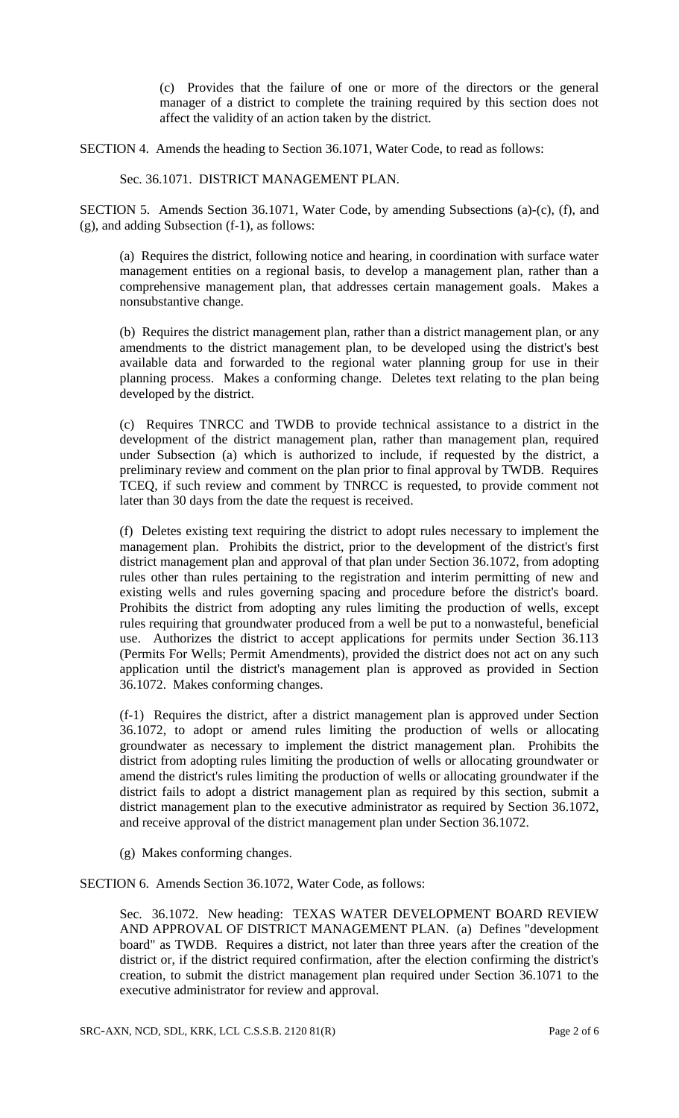(c) Provides that the failure of one or more of the directors or the general manager of a district to complete the training required by this section does not affect the validity of an action taken by the district.

SECTION 4. Amends the heading to Section 36.1071, Water Code, to read as follows:

Sec. 36.1071. DISTRICT MANAGEMENT PLAN.

SECTION 5. Amends Section 36.1071, Water Code, by amending Subsections (a)-(c), (f), and (g), and adding Subsection (f-1), as follows:

(a) Requires the district, following notice and hearing, in coordination with surface water management entities on a regional basis, to develop a management plan, rather than a comprehensive management plan, that addresses certain management goals. Makes a nonsubstantive change.

(b) Requires the district management plan, rather than a district management plan, or any amendments to the district management plan, to be developed using the district's best available data and forwarded to the regional water planning group for use in their planning process. Makes a conforming change. Deletes text relating to the plan being developed by the district.

(c) Requires TNRCC and TWDB to provide technical assistance to a district in the development of the district management plan, rather than management plan, required under Subsection (a) which is authorized to include, if requested by the district, a preliminary review and comment on the plan prior to final approval by TWDB. Requires TCEQ, if such review and comment by TNRCC is requested, to provide comment not later than 30 days from the date the request is received.

(f) Deletes existing text requiring the district to adopt rules necessary to implement the management plan. Prohibits the district, prior to the development of the district's first district management plan and approval of that plan under Section 36.1072, from adopting rules other than rules pertaining to the registration and interim permitting of new and existing wells and rules governing spacing and procedure before the district's board. Prohibits the district from adopting any rules limiting the production of wells, except rules requiring that groundwater produced from a well be put to a nonwasteful, beneficial use. Authorizes the district to accept applications for permits under Section 36.113 (Permits For Wells; Permit Amendments), provided the district does not act on any such application until the district's management plan is approved as provided in Section 36.1072. Makes conforming changes.

(f-1) Requires the district, after a district management plan is approved under Section 36.1072, to adopt or amend rules limiting the production of wells or allocating groundwater as necessary to implement the district management plan. Prohibits the district from adopting rules limiting the production of wells or allocating groundwater or amend the district's rules limiting the production of wells or allocating groundwater if the district fails to adopt a district management plan as required by this section, submit a district management plan to the executive administrator as required by Section 36.1072, and receive approval of the district management plan under Section 36.1072.

(g) Makes conforming changes.

SECTION 6. Amends Section 36.1072, Water Code, as follows:

Sec. 36.1072. New heading: TEXAS WATER DEVELOPMENT BOARD REVIEW AND APPROVAL OF DISTRICT MANAGEMENT PLAN. (a) Defines "development board" as TWDB. Requires a district, not later than three years after the creation of the district or, if the district required confirmation, after the election confirming the district's creation, to submit the district management plan required under Section 36.1071 to the executive administrator for review and approval.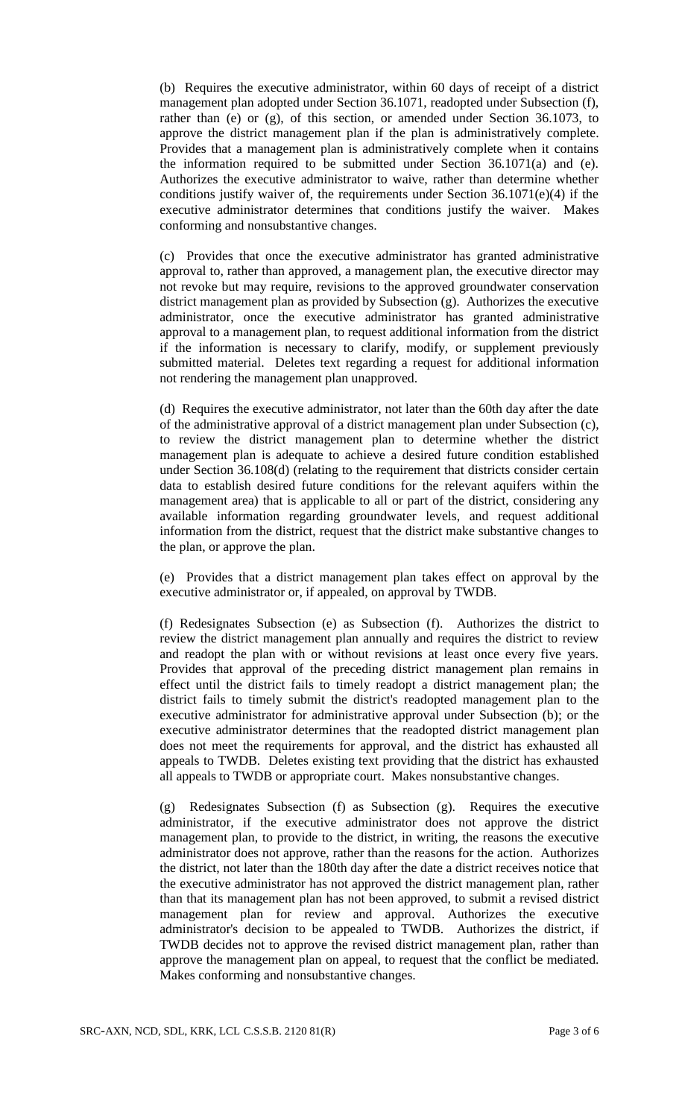(b) Requires the executive administrator, within 60 days of receipt of a district management plan adopted under Section 36.1071, readopted under Subsection (f), rather than (e) or (g), of this section, or amended under Section 36.1073, to approve the district management plan if the plan is administratively complete. Provides that a management plan is administratively complete when it contains the information required to be submitted under Section  $36.1071(a)$  and (e). Authorizes the executive administrator to waive, rather than determine whether conditions justify waiver of, the requirements under Section 36.1071(e)(4) if the executive administrator determines that conditions justify the waiver. Makes conforming and nonsubstantive changes.

(c) Provides that once the executive administrator has granted administrative approval to, rather than approved, a management plan, the executive director may not revoke but may require, revisions to the approved groundwater conservation district management plan as provided by Subsection (g). Authorizes the executive administrator, once the executive administrator has granted administrative approval to a management plan, to request additional information from the district if the information is necessary to clarify, modify, or supplement previously submitted material. Deletes text regarding a request for additional information not rendering the management plan unapproved.

(d) Requires the executive administrator, not later than the 60th day after the date of the administrative approval of a district management plan under Subsection (c), to review the district management plan to determine whether the district management plan is adequate to achieve a desired future condition established under Section 36.108(d) (relating to the requirement that districts consider certain data to establish desired future conditions for the relevant aquifers within the management area) that is applicable to all or part of the district, considering any available information regarding groundwater levels, and request additional information from the district, request that the district make substantive changes to the plan, or approve the plan.

(e) Provides that a district management plan takes effect on approval by the executive administrator or, if appealed, on approval by TWDB.

(f) Redesignates Subsection (e) as Subsection (f). Authorizes the district to review the district management plan annually and requires the district to review and readopt the plan with or without revisions at least once every five years. Provides that approval of the preceding district management plan remains in effect until the district fails to timely readopt a district management plan; the district fails to timely submit the district's readopted management plan to the executive administrator for administrative approval under Subsection (b); or the executive administrator determines that the readopted district management plan does not meet the requirements for approval, and the district has exhausted all appeals to TWDB. Deletes existing text providing that the district has exhausted all appeals to TWDB or appropriate court. Makes nonsubstantive changes.

(g) Redesignates Subsection (f) as Subsection (g). Requires the executive administrator, if the executive administrator does not approve the district management plan, to provide to the district, in writing, the reasons the executive administrator does not approve, rather than the reasons for the action. Authorizes the district, not later than the 180th day after the date a district receives notice that the executive administrator has not approved the district management plan, rather than that its management plan has not been approved, to submit a revised district management plan for review and approval. Authorizes the executive administrator's decision to be appealed to TWDB. Authorizes the district, if TWDB decides not to approve the revised district management plan, rather than approve the management plan on appeal, to request that the conflict be mediated. Makes conforming and nonsubstantive changes.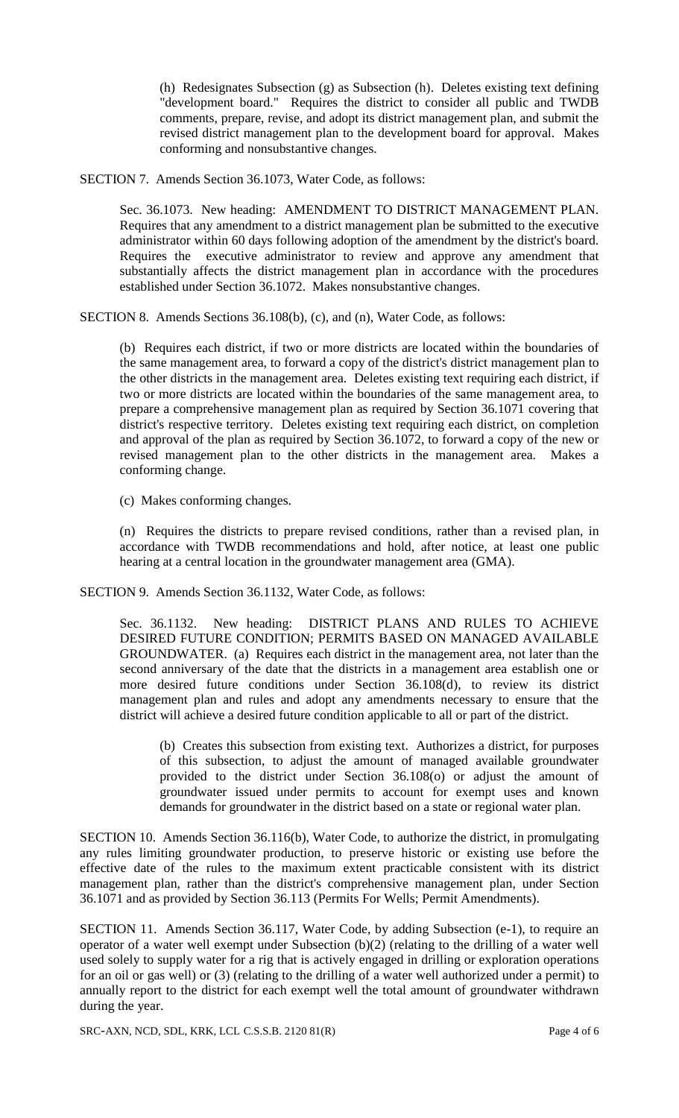(h) Redesignates Subsection (g) as Subsection (h). Deletes existing text defining "development board." Requires the district to consider all public and TWDB comments, prepare, revise, and adopt its district management plan, and submit the revised district management plan to the development board for approval. Makes conforming and nonsubstantive changes.

SECTION 7. Amends Section 36.1073, Water Code, as follows:

Sec. 36.1073. New heading: AMENDMENT TO DISTRICT MANAGEMENT PLAN. Requires that any amendment to a district management plan be submitted to the executive administrator within 60 days following adoption of the amendment by the district's board. Requires the executive administrator to review and approve any amendment that substantially affects the district management plan in accordance with the procedures established under Section 36.1072. Makes nonsubstantive changes.

SECTION 8. Amends Sections 36.108(b), (c), and (n), Water Code, as follows:

(b) Requires each district, if two or more districts are located within the boundaries of the same management area, to forward a copy of the district's district management plan to the other districts in the management area. Deletes existing text requiring each district, if two or more districts are located within the boundaries of the same management area, to prepare a comprehensive management plan as required by Section 36.1071 covering that district's respective territory. Deletes existing text requiring each district, on completion and approval of the plan as required by Section 36.1072, to forward a copy of the new or revised management plan to the other districts in the management area. Makes a conforming change.

(c) Makes conforming changes.

(n) Requires the districts to prepare revised conditions, rather than a revised plan, in accordance with TWDB recommendations and hold, after notice, at least one public hearing at a central location in the groundwater management area (GMA).

SECTION 9. Amends Section 36.1132, Water Code, as follows:

Sec. 36.1132. New heading: DISTRICT PLANS AND RULES TO ACHIEVE DESIRED FUTURE CONDITION; PERMITS BASED ON MANAGED AVAILABLE GROUNDWATER. (a) Requires each district in the management area, not later than the second anniversary of the date that the districts in a management area establish one or more desired future conditions under Section 36.108(d), to review its district management plan and rules and adopt any amendments necessary to ensure that the district will achieve a desired future condition applicable to all or part of the district.

(b) Creates this subsection from existing text. Authorizes a district, for purposes of this subsection, to adjust the amount of managed available groundwater provided to the district under Section 36.108(o) or adjust the amount of groundwater issued under permits to account for exempt uses and known demands for groundwater in the district based on a state or regional water plan.

SECTION 10. Amends Section 36.116(b), Water Code, to authorize the district, in promulgating any rules limiting groundwater production, to preserve historic or existing use before the effective date of the rules to the maximum extent practicable consistent with its district management plan, rather than the district's comprehensive management plan, under Section 36.1071 and as provided by Section 36.113 (Permits For Wells; Permit Amendments).

SECTION 11. Amends Section 36.117, Water Code, by adding Subsection (e-1), to require an operator of a water well exempt under Subsection (b)(2) (relating to the drilling of a water well used solely to supply water for a rig that is actively engaged in drilling or exploration operations for an oil or gas well) or (3) (relating to the drilling of a water well authorized under a permit) to annually report to the district for each exempt well the total amount of groundwater withdrawn during the year.

SRC-AXN, NCD, SDL, KRK, LCL C.S.S.B. 2120 81(R) Page 4 of 6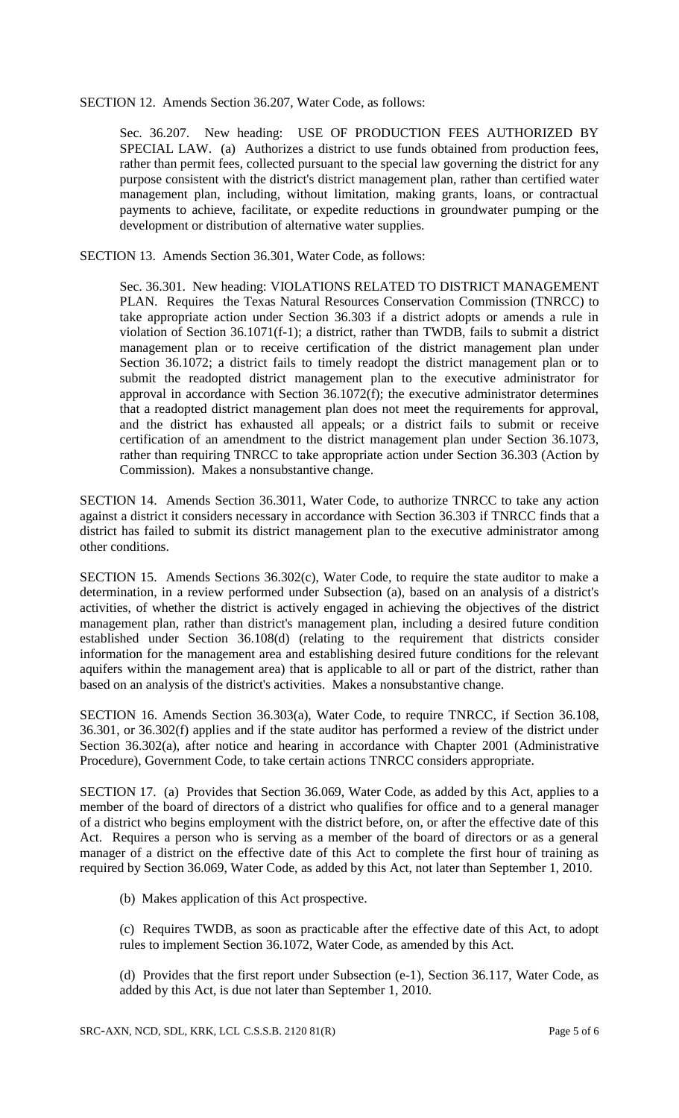#### SECTION 12. Amends Section 36.207, Water Code, as follows:

Sec. 36.207. New heading: USE OF PRODUCTION FEES AUTHORIZED BY SPECIAL LAW. (a) Authorizes a district to use funds obtained from production fees, rather than permit fees, collected pursuant to the special law governing the district for any purpose consistent with the district's district management plan, rather than certified water management plan, including, without limitation, making grants, loans, or contractual payments to achieve, facilitate, or expedite reductions in groundwater pumping or the development or distribution of alternative water supplies.

SECTION 13. Amends Section 36.301, Water Code, as follows:

Sec. 36.301. New heading: VIOLATIONS RELATED TO DISTRICT MANAGEMENT PLAN. Requires the Texas Natural Resources Conservation Commission (TNRCC) to take appropriate action under Section 36.303 if a district adopts or amends a rule in violation of Section 36.1071(f-1); a district, rather than TWDB, fails to submit a district management plan or to receive certification of the district management plan under Section 36.1072; a district fails to timely readopt the district management plan or to submit the readopted district management plan to the executive administrator for approval in accordance with Section 36.1072(f); the executive administrator determines that a readopted district management plan does not meet the requirements for approval, and the district has exhausted all appeals; or a district fails to submit or receive certification of an amendment to the district management plan under Section 36.1073, rather than requiring TNRCC to take appropriate action under Section 36.303 (Action by Commission). Makes a nonsubstantive change.

SECTION 14. Amends Section 36.3011, Water Code, to authorize TNRCC to take any action against a district it considers necessary in accordance with Section 36.303 if TNRCC finds that a district has failed to submit its district management plan to the executive administrator among other conditions.

SECTION 15. Amends Sections 36.302(c), Water Code, to require the state auditor to make a determination, in a review performed under Subsection (a), based on an analysis of a district's activities, of whether the district is actively engaged in achieving the objectives of the district management plan, rather than district's management plan, including a desired future condition established under Section 36.108(d) (relating to the requirement that districts consider information for the management area and establishing desired future conditions for the relevant aquifers within the management area) that is applicable to all or part of the district, rather than based on an analysis of the district's activities. Makes a nonsubstantive change.

SECTION 16. Amends Section 36.303(a), Water Code, to require TNRCC, if Section 36.108, 36.301, or 36.302(f) applies and if the state auditor has performed a review of the district under Section 36.302(a), after notice and hearing in accordance with Chapter 2001 (Administrative Procedure), Government Code, to take certain actions TNRCC considers appropriate.

SECTION 17. (a) Provides that Section 36.069, Water Code, as added by this Act, applies to a member of the board of directors of a district who qualifies for office and to a general manager of a district who begins employment with the district before, on, or after the effective date of this Act. Requires a person who is serving as a member of the board of directors or as a general manager of a district on the effective date of this Act to complete the first hour of training as required by Section 36.069, Water Code, as added by this Act, not later than September 1, 2010.

(b) Makes application of this Act prospective.

(c) Requires TWDB, as soon as practicable after the effective date of this Act, to adopt rules to implement Section 36.1072, Water Code, as amended by this Act.

(d) Provides that the first report under Subsection (e-1), Section 36.117, Water Code, as added by this Act, is due not later than September 1, 2010.